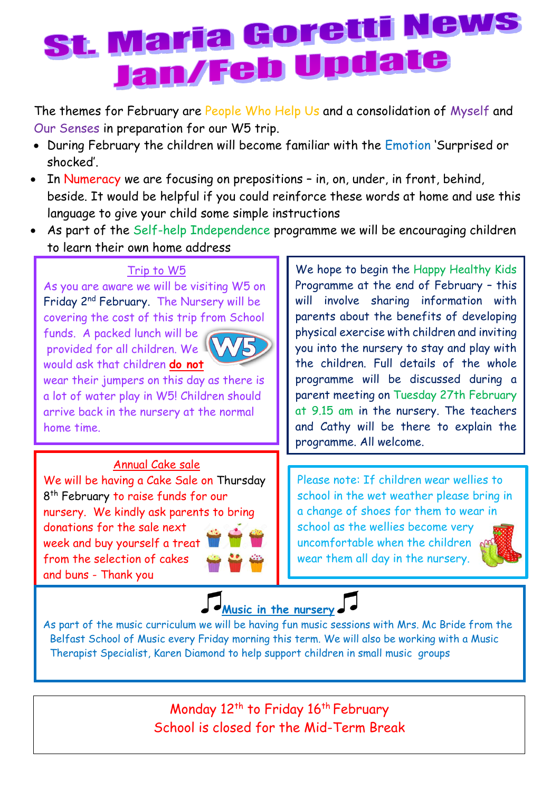## st. Maria Goretti News Jan/Feb Upda

The themes for February are People Who Help Us and a consolidation of Myself and Our Senses in preparation for our W5 trip.

- During February the children will become familiar with the Emotion 'Surprised or shocked'.
- In Numeracy we are focusing on prepositions in, on, under, in front, behind, beside. It would be helpful if you could reinforce these words at home and use this language to give your child some simple instructions
- As part of the Self-help Independence programme we will be encouraging children to learn their own home address

## Trip to W5

As you are aware we will be visiting W5 on Friday 2<sup>nd</sup> February. The Nursery will be covering the cost of this trip from School

funds. A packed lunch will be provided for all children. We would ask that children **do not**



wear their jumpers on this day as there is a lot of water play in W5! Children should arrive back in the nursery at the normal home time.

## Annual Cake sale

We will be having a Cake Sale on Thursday 8<sup>th</sup> February to raise funds for our nursery. We kindly ask parents to bring donations for the sale next week and buy yourself a treat from the selection of cakes and buns - Thank you

We hope to begin the Happy Healthy Kids Programme at the end of February – this will involve sharing information with parents about the benefits of developing physical exercise with children and inviting you into the nursery to stay and play with the children. Full details of the whole programme will be discussed during a parent meeting on Tuesday 27th February at 9.15 am in the nursery. The teachers and Cathy will be there to explain the programme. All welcome.

Please note: If children wear wellies to school in the wet weather please bring in a change of shoes for them to wear in school as the wellies become very uncomfortable when the children of wear them all day in the nursery.



**[M](https://www.google.co.uk/url?sa=i&rct=j&q=&esrc=s&source=images&cd=&cad=rja&uact=8&ved=0ahUKEwiHq4DgxvDYAhWBBsAKHSneDdkQjRwIBw&url=https://pixabay.com/en/music-note-music-note-musical-notes-1967480/&psig=AOvVaw0tCxN3XHIadWQztvRI8uwg&ust=1516881678243734)usic in the nursery**

As part of the music curriculum we will be having fun music sessions with Mrs. Mc Bride from the Belfast School of Music every Friday morning this term. We will also be working with a Music Therapist Specialist, Karen Diamond to help support children in small music groups

> Monday 12<sup>th</sup> to Friday 16<sup>th</sup> February School is closed for the Mid-Term Break